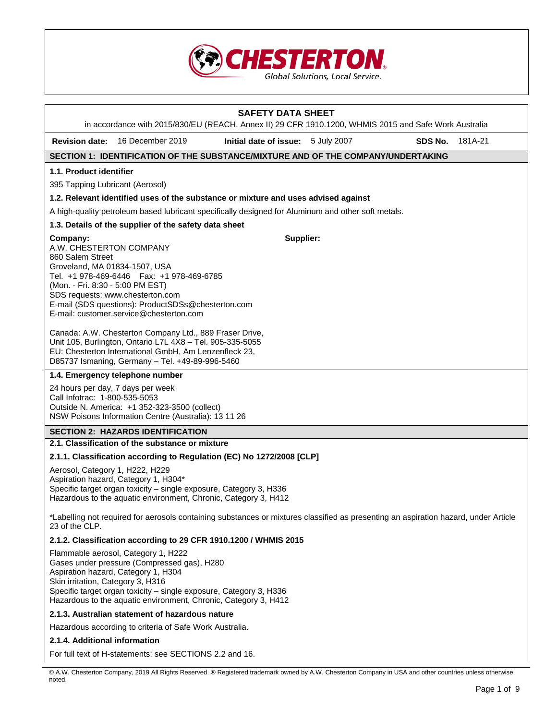

| <b>SAFETY DATA SHEET</b><br>in accordance with 2015/830/EU (REACH, Annex II) 29 CFR 1910.1200, WHMIS 2015 and Safe Work Australia                                                                                                                                                                                 |  |                                    |  |         |         |
|-------------------------------------------------------------------------------------------------------------------------------------------------------------------------------------------------------------------------------------------------------------------------------------------------------------------|--|------------------------------------|--|---------|---------|
| 16 December 2019<br><b>Revision date:</b>                                                                                                                                                                                                                                                                         |  | Initial date of issue: 5 July 2007 |  | SDS No. | 181A-21 |
| SECTION 1: IDENTIFICATION OF THE SUBSTANCE/MIXTURE AND OF THE COMPANY/UNDERTAKING                                                                                                                                                                                                                                 |  |                                    |  |         |         |
| 1.1. Product identifier                                                                                                                                                                                                                                                                                           |  |                                    |  |         |         |
| 395 Tapping Lubricant (Aerosol)                                                                                                                                                                                                                                                                                   |  |                                    |  |         |         |
| 1.2. Relevant identified uses of the substance or mixture and uses advised against                                                                                                                                                                                                                                |  |                                    |  |         |         |
| A high-quality petroleum based lubricant specifically designed for Aluminum and other soft metals.                                                                                                                                                                                                                |  |                                    |  |         |         |
| 1.3. Details of the supplier of the safety data sheet                                                                                                                                                                                                                                                             |  |                                    |  |         |         |
| Company:<br>A.W. CHESTERTON COMPANY<br>860 Salem Street<br>Groveland, MA 01834-1507, USA<br>Tel. +1 978-469-6446    Fax: +1 978-469-6785<br>(Mon. - Fri. 8:30 - 5:00 PM EST)<br>SDS requests: www.chesterton.com<br>E-mail (SDS questions): ProductSDSs@chesterton.com<br>E-mail: customer.service@chesterton.com |  | Supplier:                          |  |         |         |
| Canada: A.W. Chesterton Company Ltd., 889 Fraser Drive,<br>Unit 105, Burlington, Ontario L7L 4X8 - Tel. 905-335-5055<br>EU: Chesterton International GmbH, Am Lenzenfleck 23,<br>D85737 Ismaning, Germany - Tel. +49-89-996-5460                                                                                  |  |                                    |  |         |         |
| 1.4. Emergency telephone number                                                                                                                                                                                                                                                                                   |  |                                    |  |         |         |
| 24 hours per day, 7 days per week<br>Call Infotrac: 1-800-535-5053<br>Outside N. America: +1 352-323-3500 (collect)<br>NSW Poisons Information Centre (Australia): 13 11 26                                                                                                                                       |  |                                    |  |         |         |
| <b>SECTION 2: HAZARDS IDENTIFICATION</b>                                                                                                                                                                                                                                                                          |  |                                    |  |         |         |
| 2.1. Classification of the substance or mixture                                                                                                                                                                                                                                                                   |  |                                    |  |         |         |
| 2.1.1. Classification according to Regulation (EC) No 1272/2008 [CLP]                                                                                                                                                                                                                                             |  |                                    |  |         |         |
| Aerosol, Category 1, H222, H229<br>Aspiration hazard, Category 1, H304*<br>Specific target organ toxicity - single exposure, Category 3, H336<br>Hazardous to the aquatic environment, Chronic, Category 3, H412                                                                                                  |  |                                    |  |         |         |
| *Labelling not required for aerosols containing substances or mixtures classified as presenting an aspiration hazard, under Article<br>23 of the CLP.                                                                                                                                                             |  |                                    |  |         |         |
| 2.1.2. Classification according to 29 CFR 1910.1200 / WHMIS 2015                                                                                                                                                                                                                                                  |  |                                    |  |         |         |
| Flammable aerosol, Category 1, H222<br>Gases under pressure (Compressed gas), H280<br>Aspiration hazard, Category 1, H304<br>Skin irritation, Category 3, H316<br>Specific target organ toxicity - single exposure, Category 3, H336<br>Hazardous to the aquatic environment, Chronic, Category 3, H412           |  |                                    |  |         |         |
| 2.1.3. Australian statement of hazardous nature                                                                                                                                                                                                                                                                   |  |                                    |  |         |         |
| Hazardous according to criteria of Safe Work Australia.                                                                                                                                                                                                                                                           |  |                                    |  |         |         |
| 2.1.4. Additional information                                                                                                                                                                                                                                                                                     |  |                                    |  |         |         |
| For full text of H-statements: see SECTIONS 2.2 and 16.                                                                                                                                                                                                                                                           |  |                                    |  |         |         |

<sup>©</sup> A.W. Chesterton Company, 2019 All Rights Reserved. ® Registered trademark owned by A.W. Chesterton Company in USA and other countries unless otherwise noted.

 $\overline{\phantom{a}}$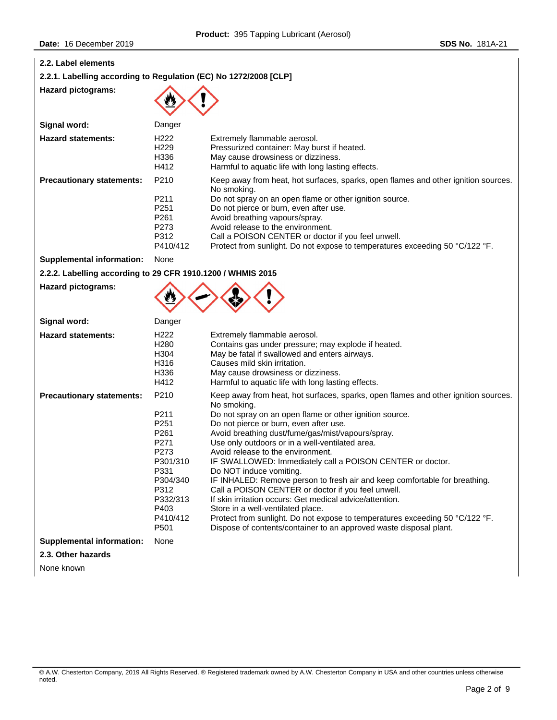| 2.2. Label elements<br>2.2.1. Labelling according to Regulation (EC) No 1272/2008 [CLP] |                                                                                                                                                      |                                                                                                                                                                                                                                                                                                                                                                                                                                                                                                                                                                                                                                                                                                                                                                                                                                        |
|-----------------------------------------------------------------------------------------|------------------------------------------------------------------------------------------------------------------------------------------------------|----------------------------------------------------------------------------------------------------------------------------------------------------------------------------------------------------------------------------------------------------------------------------------------------------------------------------------------------------------------------------------------------------------------------------------------------------------------------------------------------------------------------------------------------------------------------------------------------------------------------------------------------------------------------------------------------------------------------------------------------------------------------------------------------------------------------------------------|
| <b>Hazard pictograms:</b>                                                               |                                                                                                                                                      |                                                                                                                                                                                                                                                                                                                                                                                                                                                                                                                                                                                                                                                                                                                                                                                                                                        |
| Signal word:                                                                            | Danger                                                                                                                                               |                                                                                                                                                                                                                                                                                                                                                                                                                                                                                                                                                                                                                                                                                                                                                                                                                                        |
| <b>Hazard statements:</b>                                                               | H <sub>222</sub><br>H <sub>229</sub><br>H336<br>H412                                                                                                 | Extremely flammable aerosol.<br>Pressurized container: May burst if heated.<br>May cause drowsiness or dizziness.<br>Harmful to aquatic life with long lasting effects.                                                                                                                                                                                                                                                                                                                                                                                                                                                                                                                                                                                                                                                                |
| <b>Precautionary statements:</b>                                                        | P210<br>P211<br>P <sub>251</sub>                                                                                                                     | Keep away from heat, hot surfaces, sparks, open flames and other ignition sources.<br>No smoking.<br>Do not spray on an open flame or other ignition source.<br>Do not pierce or burn, even after use.                                                                                                                                                                                                                                                                                                                                                                                                                                                                                                                                                                                                                                 |
|                                                                                         | P <sub>261</sub><br>P273<br>P312<br>P410/412                                                                                                         | Avoid breathing vapours/spray.<br>Avoid release to the environment.<br>Call a POISON CENTER or doctor if you feel unwell.<br>Protect from sunlight. Do not expose to temperatures exceeding 50 °C/122 °F.                                                                                                                                                                                                                                                                                                                                                                                                                                                                                                                                                                                                                              |
| <b>Supplemental information:</b>                                                        | None                                                                                                                                                 |                                                                                                                                                                                                                                                                                                                                                                                                                                                                                                                                                                                                                                                                                                                                                                                                                                        |
| 2.2.2. Labelling according to 29 CFR 1910.1200 / WHMIS 2015                             |                                                                                                                                                      |                                                                                                                                                                                                                                                                                                                                                                                                                                                                                                                                                                                                                                                                                                                                                                                                                                        |
| <b>Hazard pictograms:</b>                                                               |                                                                                                                                                      |                                                                                                                                                                                                                                                                                                                                                                                                                                                                                                                                                                                                                                                                                                                                                                                                                                        |
| Signal word:                                                                            | Danger                                                                                                                                               |                                                                                                                                                                                                                                                                                                                                                                                                                                                                                                                                                                                                                                                                                                                                                                                                                                        |
| <b>Hazard statements:</b>                                                               | H <sub>222</sub><br>H <sub>280</sub><br>H304<br>H316<br>H336<br>H412                                                                                 | Extremely flammable aerosol.<br>Contains gas under pressure; may explode if heated.<br>May be fatal if swallowed and enters airways.<br>Causes mild skin irritation.<br>May cause drowsiness or dizziness.<br>Harmful to aquatic life with long lasting effects.                                                                                                                                                                                                                                                                                                                                                                                                                                                                                                                                                                       |
| <b>Precautionary statements:</b>                                                        | P210<br>P211<br>P <sub>251</sub><br>P261<br>P271<br>P273<br>P301/310<br>P331<br>P304/340<br>P312<br>P332/313<br>P403<br>P410/412<br>P <sub>501</sub> | Keep away from heat, hot surfaces, sparks, open flames and other ignition sources.<br>No smoking.<br>Do not spray on an open flame or other ignition source.<br>Do not pierce or burn, even after use.<br>Avoid breathing dust/fume/gas/mist/vapours/spray.<br>Use only outdoors or in a well-ventilated area.<br>Avoid release to the environment.<br>IF SWALLOWED: Immediately call a POISON CENTER or doctor.<br>Do NOT induce vomiting.<br>IF INHALED: Remove person to fresh air and keep comfortable for breathing.<br>Call a POISON CENTER or doctor if you feel unwell.<br>If skin irritation occurs: Get medical advice/attention.<br>Store in a well-ventilated place.<br>Protect from sunlight. Do not expose to temperatures exceeding 50 °C/122 °F.<br>Dispose of contents/container to an approved waste disposal plant. |
| <b>Supplemental information:</b>                                                        | None                                                                                                                                                 |                                                                                                                                                                                                                                                                                                                                                                                                                                                                                                                                                                                                                                                                                                                                                                                                                                        |
| 2.3. Other hazards                                                                      |                                                                                                                                                      |                                                                                                                                                                                                                                                                                                                                                                                                                                                                                                                                                                                                                                                                                                                                                                                                                                        |

None known

© A.W. Chesterton Company, 2019 All Rights Reserved. ® Registered trademark owned by A.W. Chesterton Company in USA and other countries unless otherwise noted.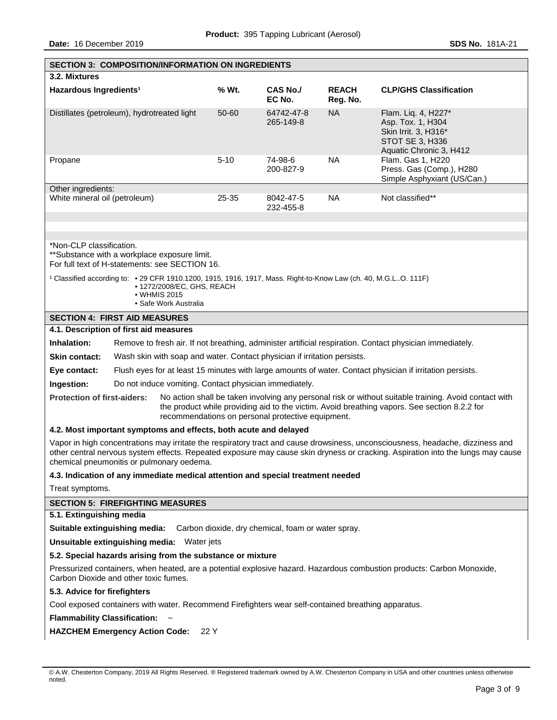|                                                                                                                                                                                                                                                                                                                | <b>SECTION 3: COMPOSITION/INFORMATION ON INGREDIENTS</b>                                                                                                                               |          |                           |                          |                                                                                                                |
|----------------------------------------------------------------------------------------------------------------------------------------------------------------------------------------------------------------------------------------------------------------------------------------------------------------|----------------------------------------------------------------------------------------------------------------------------------------------------------------------------------------|----------|---------------------------|--------------------------|----------------------------------------------------------------------------------------------------------------|
| 3.2. Mixtures                                                                                                                                                                                                                                                                                                  |                                                                                                                                                                                        |          |                           |                          |                                                                                                                |
| Hazardous Ingredients <sup>1</sup>                                                                                                                                                                                                                                                                             |                                                                                                                                                                                        | % Wt.    | <b>CAS No./</b><br>EC No. | <b>REACH</b><br>Reg. No. | <b>CLP/GHS Classification</b>                                                                                  |
| Distillates (petroleum), hydrotreated light                                                                                                                                                                                                                                                                    |                                                                                                                                                                                        | 50-60    | 64742-47-8<br>265-149-8   | <b>NA</b>                | Flam. Liq. 4, H227*<br>Asp. Tox. 1, H304<br>Skin Irrit. 3, H316*<br>STOT SE 3, H336<br>Aquatic Chronic 3, H412 |
| Propane                                                                                                                                                                                                                                                                                                        |                                                                                                                                                                                        | $5 - 10$ | 74-98-6<br>200-827-9      | <b>NA</b>                | Flam. Gas 1, H220<br>Press. Gas (Comp.), H280<br>Simple Asphyxiant (US/Can.)                                   |
| Other ingredients:<br>White mineral oil (petroleum)                                                                                                                                                                                                                                                            |                                                                                                                                                                                        | 25-35    | 8042-47-5<br>232-455-8    | <b>NA</b>                | Not classified**                                                                                               |
|                                                                                                                                                                                                                                                                                                                |                                                                                                                                                                                        |          |                           |                          |                                                                                                                |
| *Non-CLP classification.                                                                                                                                                                                                                                                                                       | **Substance with a workplace exposure limit.<br>For full text of H-statements: see SECTION 16.                                                                                         |          |                           |                          |                                                                                                                |
|                                                                                                                                                                                                                                                                                                                | 1 Classified according to: • 29 CFR 1910.1200, 1915, 1916, 1917, Mass. Right-to-Know Law (ch. 40, M.G.LO. 111F)<br>• 1272/2008/EC, GHS, REACH<br>• WHMIS 2015<br>• Safe Work Australia |          |                           |                          |                                                                                                                |
|                                                                                                                                                                                                                                                                                                                | <b>SECTION 4: FIRST AID MEASURES</b>                                                                                                                                                   |          |                           |                          |                                                                                                                |
|                                                                                                                                                                                                                                                                                                                | 4.1. Description of first aid measures                                                                                                                                                 |          |                           |                          |                                                                                                                |
| Inhalation:                                                                                                                                                                                                                                                                                                    |                                                                                                                                                                                        |          |                           |                          | Remove to fresh air. If not breathing, administer artificial respiration. Contact physician immediately.       |
| <b>Skin contact:</b>                                                                                                                                                                                                                                                                                           | Wash skin with soap and water. Contact physician if irritation persists.                                                                                                               |          |                           |                          |                                                                                                                |
| Eye contact:                                                                                                                                                                                                                                                                                                   |                                                                                                                                                                                        |          |                           |                          | Flush eyes for at least 15 minutes with large amounts of water. Contact physician if irritation persists.      |
| Ingestion:                                                                                                                                                                                                                                                                                                     | Do not induce vomiting. Contact physician immediately.                                                                                                                                 |          |                           |                          |                                                                                                                |
| <b>Protection of first-aiders:</b><br>No action shall be taken involving any personal risk or without suitable training. Avoid contact with<br>the product while providing aid to the victim. Avoid breathing vapors. See section 8.2.2 for<br>recommendations on personal protective equipment.               |                                                                                                                                                                                        |          |                           |                          |                                                                                                                |
| 4.2. Most important symptoms and effects, both acute and delayed                                                                                                                                                                                                                                               |                                                                                                                                                                                        |          |                           |                          |                                                                                                                |
| Vapor in high concentrations may irritate the respiratory tract and cause drowsiness, unconsciousness, headache, dizziness and<br>other central nervous system effects. Repeated exposure may cause skin dryness or cracking. Aspiration into the lungs may cause<br>chemical pneumonitis or pulmonary oedema. |                                                                                                                                                                                        |          |                           |                          |                                                                                                                |
|                                                                                                                                                                                                                                                                                                                | 4.3. Indication of any immediate medical attention and special treatment needed                                                                                                        |          |                           |                          |                                                                                                                |
| Treat symptoms.                                                                                                                                                                                                                                                                                                |                                                                                                                                                                                        |          |                           |                          |                                                                                                                |
| <b>SECTION 5: FIREFIGHTING MEASURES</b>                                                                                                                                                                                                                                                                        |                                                                                                                                                                                        |          |                           |                          |                                                                                                                |
| 5.1. Extinguishing media                                                                                                                                                                                                                                                                                       |                                                                                                                                                                                        |          |                           |                          |                                                                                                                |
| Suitable extinguishing media:<br>Carbon dioxide, dry chemical, foam or water spray.                                                                                                                                                                                                                            |                                                                                                                                                                                        |          |                           |                          |                                                                                                                |
| Unsuitable extinguishing media: Water jets                                                                                                                                                                                                                                                                     |                                                                                                                                                                                        |          |                           |                          |                                                                                                                |
| 5.2. Special hazards arising from the substance or mixture                                                                                                                                                                                                                                                     |                                                                                                                                                                                        |          |                           |                          |                                                                                                                |
| Pressurized containers, when heated, are a potential explosive hazard. Hazardous combustion products: Carbon Monoxide,<br>Carbon Dioxide and other toxic fumes.                                                                                                                                                |                                                                                                                                                                                        |          |                           |                          |                                                                                                                |
| 5.3. Advice for firefighters                                                                                                                                                                                                                                                                                   |                                                                                                                                                                                        |          |                           |                          |                                                                                                                |
| Cool exposed containers with water. Recommend Firefighters wear self-contained breathing apparatus.                                                                                                                                                                                                            |                                                                                                                                                                                        |          |                           |                          |                                                                                                                |
| <b>Flammability Classification:</b>                                                                                                                                                                                                                                                                            |                                                                                                                                                                                        |          |                           |                          |                                                                                                                |
| <b>HAZCHEM Emergency Action Code:</b><br>22 Y                                                                                                                                                                                                                                                                  |                                                                                                                                                                                        |          |                           |                          |                                                                                                                |

<sup>©</sup> A.W. Chesterton Company, 2019 All Rights Reserved. ® Registered trademark owned by A.W. Chesterton Company in USA and other countries unless otherwise noted.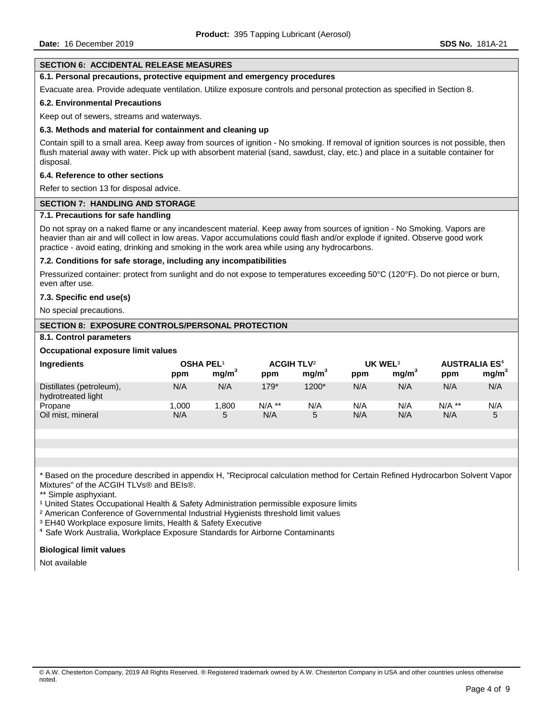# **SECTION 6: ACCIDENTAL RELEASE MEASURES**

#### **6.1. Personal precautions, protective equipment and emergency procedures**

Evacuate area. Provide adequate ventilation. Utilize exposure controls and personal protection as specified in Section 8.

#### **6.2. Environmental Precautions**

Keep out of sewers, streams and waterways.

#### **6.3. Methods and material for containment and cleaning up**

Contain spill to a small area. Keep away from sources of ignition - No smoking. If removal of ignition sources is not possible, then flush material away with water. Pick up with absorbent material (sand, sawdust, clay, etc.) and place in a suitable container for disposal.

#### **6.4. Reference to other sections**

Refer to section 13 for disposal advice.

#### **SECTION 7: HANDLING AND STORAGE**

## **7.1. Precautions for safe handling**

Do not spray on a naked flame or any incandescent material. Keep away from sources of ignition - No Smoking. Vapors are heavier than air and will collect in low areas. Vapor accumulations could flash and/or explode if ignited. Observe good work practice - avoid eating, drinking and smoking in the work area while using any hydrocarbons.

#### **7.2. Conditions for safe storage, including any incompatibilities**

Pressurized container: protect from sunlight and do not expose to temperatures exceeding 50°C (120°F). Do not pierce or burn, even after use.

#### **7.3. Specific end use(s)**

No special precautions.

#### **SECTION 8: EXPOSURE CONTROLS/PERSONAL PROTECTION**

#### **8.1. Control parameters**

## **Occupational exposure limit values**

| <b>Ingredients</b>                             | <b>OSHA PEL1</b><br>ppm | mg/m <sup>3</sup> | <b>ACGIH TLV<sup>2</sup></b><br>ppm | mg/m <sup>3</sup> | UK WEL <sup>3</sup><br>ppm | mq/m <sup>3</sup> | <b>AUSTRALIA ES<sup>4</sup></b><br>ppm | mg/m <sup>3</sup> |
|------------------------------------------------|-------------------------|-------------------|-------------------------------------|-------------------|----------------------------|-------------------|----------------------------------------|-------------------|
| Distillates (petroleum),<br>hydrotreated light | N/A                     | N/A               | $179*$                              | $1200*$           | N/A                        | N/A               | N/A                                    | N/A               |
| Propane                                        | .000                    | .800              | $N/A$ **                            | N/A               | N/A                        | N/A               | $N/A$ **                               | N/A               |
| Oil mist, mineral                              | N/A                     | 5                 | N/A                                 | 5                 | N/A                        | N/A               | N/A                                    | 5                 |

\* Based on the procedure described in appendix H, "Reciprocal calculation method for Certain Refined Hydrocarbon Solvent Vapor Mixtures" of the ACGIH TLVs® and BEIs®.

\*\* Simple asphyxiant.

<sup>1</sup> United States Occupational Health & Safety Administration permissible exposure limits

² American Conference of Governmental Industrial Hygienists threshold limit values

³ EH40 Workplace exposure limits, Health & Safety Executive

⁴ Safe Work Australia, Workplace Exposure Standards for Airborne Contaminants

#### **Biological limit values**

Not available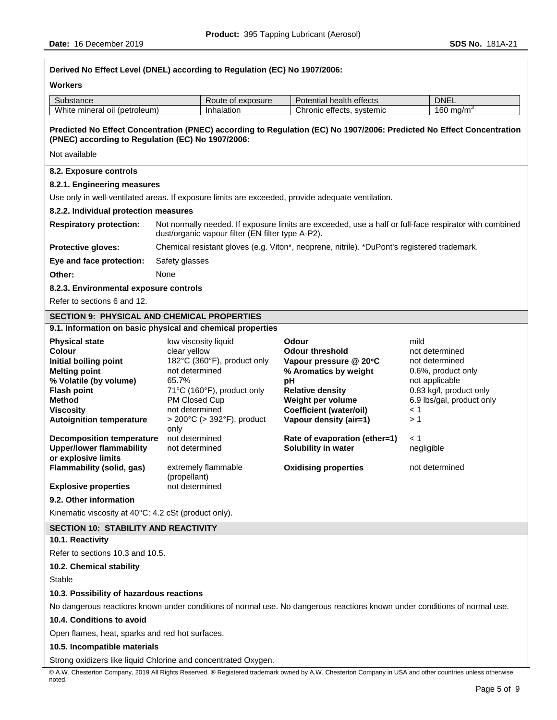| Derived No Effect Level (DNEL) according to Regulation (EC) No 1907/2006:                                                 |                                                                                                                       |                                                                                                                                                             |                                                                                                                       |                                  |  |  |
|---------------------------------------------------------------------------------------------------------------------------|-----------------------------------------------------------------------------------------------------------------------|-------------------------------------------------------------------------------------------------------------------------------------------------------------|-----------------------------------------------------------------------------------------------------------------------|----------------------------------|--|--|
| <b>Workers</b>                                                                                                            |                                                                                                                       |                                                                                                                                                             |                                                                                                                       |                                  |  |  |
| Substance                                                                                                                 |                                                                                                                       | Route of exposure                                                                                                                                           | Potential health effects                                                                                              | <b>DNEL</b>                      |  |  |
| White mineral oil (petroleum)                                                                                             | Inhalation                                                                                                            |                                                                                                                                                             | Chronic effects, systemic                                                                                             | 160 mg/m <sup>3</sup>            |  |  |
| (PNEC) according to Regulation (EC) No 1907/2006:                                                                         |                                                                                                                       |                                                                                                                                                             | Predicted No Effect Concentration (PNEC) according to Regulation (EC) No 1907/2006: Predicted No Effect Concentration |                                  |  |  |
| Not available                                                                                                             |                                                                                                                       |                                                                                                                                                             |                                                                                                                       |                                  |  |  |
| 8.2. Exposure controls                                                                                                    |                                                                                                                       |                                                                                                                                                             |                                                                                                                       |                                  |  |  |
| 8.2.1. Engineering measures                                                                                               |                                                                                                                       |                                                                                                                                                             |                                                                                                                       |                                  |  |  |
|                                                                                                                           |                                                                                                                       |                                                                                                                                                             | Use only in well-ventilated areas. If exposure limits are exceeded, provide adequate ventilation.                     |                                  |  |  |
| 8.2.2. Individual protection measures                                                                                     |                                                                                                                       |                                                                                                                                                             |                                                                                                                       |                                  |  |  |
| <b>Respiratory protection:</b>                                                                                            |                                                                                                                       | Not normally needed. If exposure limits are exceeded, use a half or full-face respirator with combined<br>dust/organic vapour filter (EN filter type A-P2). |                                                                                                                       |                                  |  |  |
| Protective gloves:                                                                                                        |                                                                                                                       |                                                                                                                                                             | Chemical resistant gloves (e.g. Viton*, neoprene, nitrile). *DuPont's registered trademark.                           |                                  |  |  |
| Eye and face protection:                                                                                                  | Safety glasses                                                                                                        |                                                                                                                                                             |                                                                                                                       |                                  |  |  |
| Other:                                                                                                                    | None                                                                                                                  |                                                                                                                                                             |                                                                                                                       |                                  |  |  |
| 8.2.3. Environmental exposure controls                                                                                    |                                                                                                                       |                                                                                                                                                             |                                                                                                                       |                                  |  |  |
| Refer to sections 6 and 12.                                                                                               |                                                                                                                       |                                                                                                                                                             |                                                                                                                       |                                  |  |  |
| <b>SECTION 9: PHYSICAL AND CHEMICAL PROPERTIES</b>                                                                        |                                                                                                                       |                                                                                                                                                             |                                                                                                                       |                                  |  |  |
| 9.1. Information on basic physical and chemical properties                                                                |                                                                                                                       |                                                                                                                                                             |                                                                                                                       |                                  |  |  |
| <b>Physical state</b>                                                                                                     |                                                                                                                       | low viscosity liquid                                                                                                                                        | Odour                                                                                                                 | mild                             |  |  |
| <b>Colour</b><br>Initial boiling point                                                                                    | clear yellow                                                                                                          |                                                                                                                                                             | <b>Odour threshold</b>                                                                                                | not determined<br>not determined |  |  |
| <b>Melting point</b>                                                                                                      | 182°C (360°F), product only<br>Vapour pressure @ 20°C<br>not determined<br>% Aromatics by weight                      |                                                                                                                                                             | 0.6%, product only                                                                                                    |                                  |  |  |
| % Volatile (by volume)                                                                                                    | 65.7%<br>pH                                                                                                           |                                                                                                                                                             | not applicable                                                                                                        |                                  |  |  |
| <b>Flash point</b><br><b>Method</b>                                                                                       | 0.83 kg/l, product only<br>71°C (160°F), product only<br><b>Relative density</b>                                      |                                                                                                                                                             |                                                                                                                       |                                  |  |  |
| <b>Viscosity</b>                                                                                                          |                                                                                                                       | PM Closed Cup<br>Weight per volume<br>6.9 lbs/gal, product only<br>not determined<br><b>Coefficient (water/oil)</b><br>< 1                                  |                                                                                                                       |                                  |  |  |
| <b>Autoignition temperature</b>                                                                                           | $>$ 200 $\degree$ C ( $>$ 392 $\degree$ F), product<br>Vapour density (air=1)<br>>1                                   |                                                                                                                                                             |                                                                                                                       |                                  |  |  |
| <b>Decomposition temperature</b><br><b>Upper/lower flammability</b>                                                       | only<br>not determined<br>Rate of evaporation (ether=1)<br>< 1<br>Solubility in water<br>not determined<br>negligible |                                                                                                                                                             |                                                                                                                       |                                  |  |  |
| or explosive limits<br>Flammability (solid, gas)                                                                          | (propellant)                                                                                                          | extremely flammable                                                                                                                                         | <b>Oxidising properties</b>                                                                                           | not determined                   |  |  |
| <b>Explosive properties</b>                                                                                               | not determined                                                                                                        |                                                                                                                                                             |                                                                                                                       |                                  |  |  |
| 9.2. Other information                                                                                                    |                                                                                                                       |                                                                                                                                                             |                                                                                                                       |                                  |  |  |
| Kinematic viscosity at 40°C: 4.2 cSt (product only).                                                                      |                                                                                                                       |                                                                                                                                                             |                                                                                                                       |                                  |  |  |
| <b>SECTION 10: STABILITY AND REACTIVITY</b>                                                                               |                                                                                                                       |                                                                                                                                                             |                                                                                                                       |                                  |  |  |
| 10.1. Reactivity                                                                                                          |                                                                                                                       |                                                                                                                                                             |                                                                                                                       |                                  |  |  |
| Refer to sections 10.3 and 10.5.                                                                                          |                                                                                                                       |                                                                                                                                                             |                                                                                                                       |                                  |  |  |
| 10.2. Chemical stability                                                                                                  |                                                                                                                       |                                                                                                                                                             |                                                                                                                       |                                  |  |  |
| Stable                                                                                                                    |                                                                                                                       |                                                                                                                                                             |                                                                                                                       |                                  |  |  |
| 10.3. Possibility of hazardous reactions                                                                                  |                                                                                                                       |                                                                                                                                                             |                                                                                                                       |                                  |  |  |
| No dangerous reactions known under conditions of normal use. No dangerous reactions known under conditions of normal use. |                                                                                                                       |                                                                                                                                                             |                                                                                                                       |                                  |  |  |
| 10.4. Conditions to avoid                                                                                                 |                                                                                                                       |                                                                                                                                                             |                                                                                                                       |                                  |  |  |
| Open flames, heat, sparks and red hot surfaces.                                                                           |                                                                                                                       |                                                                                                                                                             |                                                                                                                       |                                  |  |  |
| 10.5. Incompatible materials                                                                                              |                                                                                                                       |                                                                                                                                                             |                                                                                                                       |                                  |  |  |
| Strong oxidizers like liquid Chlorine and concentrated Oxygen.                                                            |                                                                                                                       |                                                                                                                                                             |                                                                                                                       |                                  |  |  |

© A.W. Chesterton Company, 2019 All Rights Reserved. ® Registered trademark owned by A.W. Chesterton Company in USA and other countries unless otherwise noted.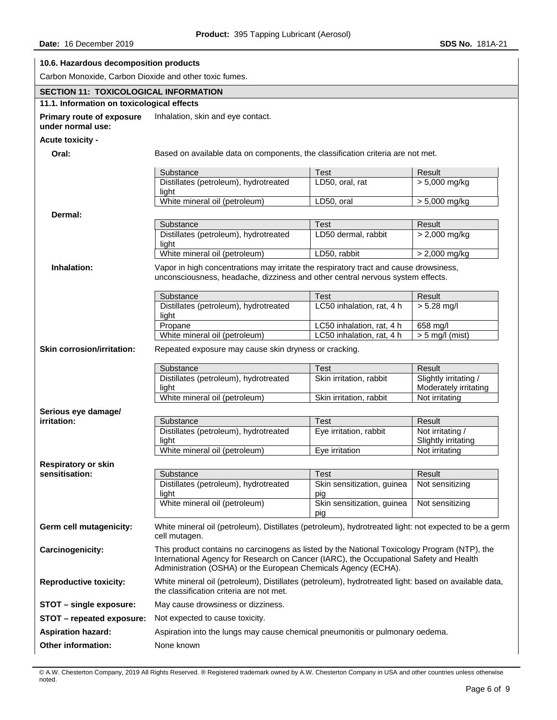| 10.6. Hazardous decomposition products                 |                                                                                                                                                                                                                                                          |                                   |                                                |  |  |
|--------------------------------------------------------|----------------------------------------------------------------------------------------------------------------------------------------------------------------------------------------------------------------------------------------------------------|-----------------------------------|------------------------------------------------|--|--|
| Carbon Monoxide, Carbon Dioxide and other toxic fumes. |                                                                                                                                                                                                                                                          |                                   |                                                |  |  |
| <b>SECTION 11: TOXICOLOGICAL INFORMATION</b>           |                                                                                                                                                                                                                                                          |                                   |                                                |  |  |
| 11.1. Information on toxicological effects             |                                                                                                                                                                                                                                                          |                                   |                                                |  |  |
| <b>Primary route of exposure</b><br>under normal use:  | Inhalation, skin and eye contact.                                                                                                                                                                                                                        |                                   |                                                |  |  |
| Acute toxicity -                                       |                                                                                                                                                                                                                                                          |                                   |                                                |  |  |
| Oral:                                                  | Based on available data on components, the classification criteria are not met.                                                                                                                                                                          |                                   |                                                |  |  |
|                                                        | Substance                                                                                                                                                                                                                                                | Test                              | Result                                         |  |  |
|                                                        | Distillates (petroleum), hydrotreated<br>light                                                                                                                                                                                                           | LD50, oral, rat                   | $> 5,000$ mg/kg                                |  |  |
|                                                        | White mineral oil (petroleum)                                                                                                                                                                                                                            | LD50, oral                        | > 5,000 mg/kg                                  |  |  |
| Dermal:                                                |                                                                                                                                                                                                                                                          |                                   |                                                |  |  |
|                                                        | Substance                                                                                                                                                                                                                                                | <b>Test</b>                       | Result                                         |  |  |
|                                                        | Distillates (petroleum), hydrotreated<br>light                                                                                                                                                                                                           | LD50 dermal, rabbit               | $> 2,000$ mg/kg                                |  |  |
|                                                        | White mineral oil (petroleum)                                                                                                                                                                                                                            | LD50, rabbit                      | $> 2,000$ mg/kg                                |  |  |
| Inhalation:                                            | Vapor in high concentrations may irritate the respiratory tract and cause drowsiness,<br>unconsciousness, headache, dizziness and other central nervous system effects.                                                                                  |                                   |                                                |  |  |
|                                                        | Substance                                                                                                                                                                                                                                                | Test                              | Result                                         |  |  |
|                                                        | Distillates (petroleum), hydrotreated<br>light                                                                                                                                                                                                           | LC50 inhalation, rat, 4 h         | $> 5.28$ mg/l                                  |  |  |
|                                                        | Propane                                                                                                                                                                                                                                                  | LC50 inhalation, rat, 4 h         | 658 mg/l                                       |  |  |
|                                                        | White mineral oil (petroleum)                                                                                                                                                                                                                            | LC50 inhalation, rat, 4 h         | $> 5$ mg/l (mist)                              |  |  |
| <b>Skin corrosion/irritation:</b>                      | Repeated exposure may cause skin dryness or cracking.                                                                                                                                                                                                    |                                   |                                                |  |  |
|                                                        | Substance                                                                                                                                                                                                                                                | <b>Test</b>                       | <b>Result</b>                                  |  |  |
|                                                        | Distillates (petroleum), hydrotreated<br>light                                                                                                                                                                                                           | Skin irritation, rabbit           | Slightly irritating /<br>Moderately irritating |  |  |
|                                                        | White mineral oil (petroleum)                                                                                                                                                                                                                            | Skin irritation, rabbit           | Not irritating                                 |  |  |
| Serious eye damage/                                    |                                                                                                                                                                                                                                                          |                                   |                                                |  |  |
| irritation:                                            | Substance                                                                                                                                                                                                                                                | <b>Test</b>                       | Result                                         |  |  |
|                                                        | Distillates (petroleum), hydrotreated<br>light                                                                                                                                                                                                           | Eye irritation, rabbit            | Not irritating /<br>Slightly irritating        |  |  |
|                                                        | White mineral oil (petroleum)                                                                                                                                                                                                                            | Eye irritation                    | Not irritating                                 |  |  |
| <b>Respiratory or skin</b>                             |                                                                                                                                                                                                                                                          |                                   |                                                |  |  |
| sensitisation:                                         | Substance                                                                                                                                                                                                                                                | <b>Test</b>                       | Result                                         |  |  |
|                                                        | Distillates (petroleum), hydrotreated<br>light                                                                                                                                                                                                           | Skin sensitization, guinea<br>pig | Not sensitizing                                |  |  |
|                                                        | White mineral oil (petroleum)                                                                                                                                                                                                                            | Skin sensitization, guinea<br>pig | Not sensitizing                                |  |  |
| Germ cell mutagenicity:                                | White mineral oil (petroleum), Distillates (petroleum), hydrotreated light: not expected to be a germ<br>cell mutagen.                                                                                                                                   |                                   |                                                |  |  |
| <b>Carcinogenicity:</b>                                | This product contains no carcinogens as listed by the National Toxicology Program (NTP), the<br>International Agency for Research on Cancer (IARC), the Occupational Safety and Health<br>Administration (OSHA) or the European Chemicals Agency (ECHA). |                                   |                                                |  |  |
| <b>Reproductive toxicity:</b>                          | White mineral oil (petroleum), Distillates (petroleum), hydrotreated light: based on available data,<br>the classification criteria are not met.                                                                                                         |                                   |                                                |  |  |
| STOT - single exposure:                                | May cause drowsiness or dizziness.                                                                                                                                                                                                                       |                                   |                                                |  |  |
| STOT - repeated exposure:                              | Not expected to cause toxicity.                                                                                                                                                                                                                          |                                   |                                                |  |  |
| <b>Aspiration hazard:</b>                              | Aspiration into the lungs may cause chemical pneumonitis or pulmonary oedema.                                                                                                                                                                            |                                   |                                                |  |  |
| Other information:                                     | None known                                                                                                                                                                                                                                               |                                   |                                                |  |  |
|                                                        |                                                                                                                                                                                                                                                          |                                   |                                                |  |  |

© A.W. Chesterton Company, 2019 All Rights Reserved. ® Registered trademark owned by A.W. Chesterton Company in USA and other countries unless otherwise noted.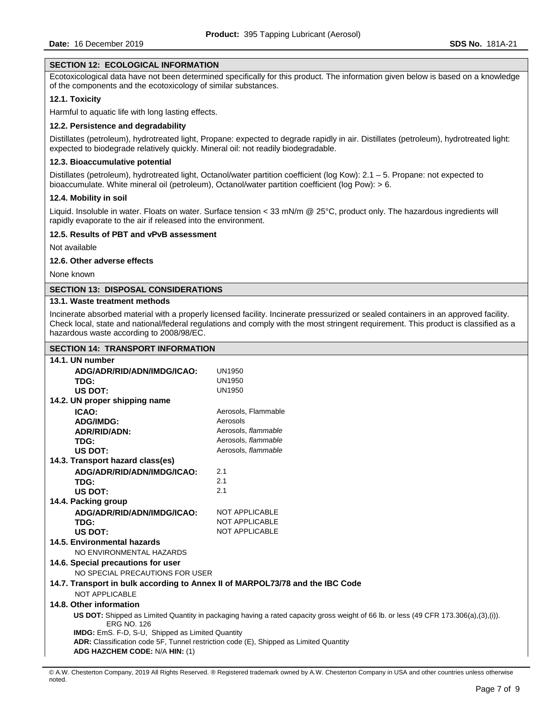# **SECTION 12: ECOLOGICAL INFORMATION**

Ecotoxicological data have not been determined specifically for this product. The information given below is based on a knowledge of the components and the ecotoxicology of similar substances.

### **12.1. Toxicity**

Harmful to aquatic life with long lasting effects.

## **12.2. Persistence and degradability**

Distillates (petroleum), hydrotreated light, Propane: expected to degrade rapidly in air. Distillates (petroleum), hydrotreated light: expected to biodegrade relatively quickly. Mineral oil: not readily biodegradable.

## **12.3. Bioaccumulative potential**

Distillates (petroleum), hydrotreated light, Octanol/water partition coefficient (log Kow): 2.1 – 5. Propane: not expected to bioaccumulate. White mineral oil (petroleum), Octanol/water partition coefficient (log Pow): > 6.

#### **12.4. Mobility in soil**

Liquid. Insoluble in water. Floats on water. Surface tension < 33 mN/m @ 25°C, product only. The hazardous ingredients will rapidly evaporate to the air if released into the environment.

#### **12.5. Results of PBT and vPvB assessment**

Not available

# **12.6. Other adverse effects**

None known

# **SECTION 13: DISPOSAL CONSIDERATIONS**

## **13.1. Waste treatment methods**

Incinerate absorbed material with a properly licensed facility. Incinerate pressurized or sealed containers in an approved facility. Check local, state and national/federal regulations and comply with the most stringent requirement. This product is classified as a hazardous waste according to 2008/98/EC.

# **SECTION 14: TRANSPORT INFORMATION**

| SECTION 14. IRANSPORT INFORMATION                                                                                                                          |                       |  |  |  |
|------------------------------------------------------------------------------------------------------------------------------------------------------------|-----------------------|--|--|--|
| 14.1. UN number                                                                                                                                            |                       |  |  |  |
| ADG/ADR/RID/ADN/IMDG/ICAO:                                                                                                                                 | <b>UN1950</b>         |  |  |  |
| TDG:                                                                                                                                                       | <b>UN1950</b>         |  |  |  |
| US DOT:                                                                                                                                                    | <b>UN1950</b>         |  |  |  |
| 14.2. UN proper shipping name                                                                                                                              |                       |  |  |  |
| ICAO:                                                                                                                                                      | Aerosols, Flammable   |  |  |  |
| <b>ADG/IMDG:</b>                                                                                                                                           | Aerosols              |  |  |  |
| <b>ADR/RID/ADN:</b>                                                                                                                                        | Aerosols, flammable   |  |  |  |
| TDG:                                                                                                                                                       | Aerosols, flammable   |  |  |  |
| US DOT:                                                                                                                                                    | Aerosols, flammable   |  |  |  |
| 14.3. Transport hazard class(es)                                                                                                                           |                       |  |  |  |
| ADG/ADR/RID/ADN/IMDG/ICAO:                                                                                                                                 | 2.1                   |  |  |  |
| TDG:                                                                                                                                                       | 2.1                   |  |  |  |
| <b>US DOT:</b>                                                                                                                                             | 2.1                   |  |  |  |
| 14.4. Packing group                                                                                                                                        |                       |  |  |  |
| ADG/ADR/RID/ADN/IMDG/ICAO:                                                                                                                                 | NOT APPLICABLE        |  |  |  |
| TDG:                                                                                                                                                       | NOT APPLICABLE        |  |  |  |
| US DOT:                                                                                                                                                    | <b>NOT APPLICABLE</b> |  |  |  |
| 14.5. Environmental hazards                                                                                                                                |                       |  |  |  |
| NO ENVIRONMENTAL HAZARDS                                                                                                                                   |                       |  |  |  |
| 14.6. Special precautions for user                                                                                                                         |                       |  |  |  |
| NO SPECIAL PRECAUTIONS FOR USER                                                                                                                            |                       |  |  |  |
| 14.7. Transport in bulk according to Annex II of MARPOL73/78 and the IBC Code                                                                              |                       |  |  |  |
| NOT APPLICABLE                                                                                                                                             |                       |  |  |  |
| 14.8. Other information                                                                                                                                    |                       |  |  |  |
| US DOT: Shipped as Limited Quantity in packaging having a rated capacity gross weight of 66 lb. or less (49 CFR 173.306(a),(3),(i)).<br><b>ERG NO. 126</b> |                       |  |  |  |
| <b>IMDG:</b> EmS. F-D, S-U, Shipped as Limited Quantity                                                                                                    |                       |  |  |  |
| ADR: Classification code 5F, Tunnel restriction code (E), Shipped as Limited Quantity                                                                      |                       |  |  |  |
| ADG HAZCHEM CODE: N/A HIN: (1)                                                                                                                             |                       |  |  |  |

<sup>©</sup> A.W. Chesterton Company, 2019 All Rights Reserved. ® Registered trademark owned by A.W. Chesterton Company in USA and other countries unless otherwise noted.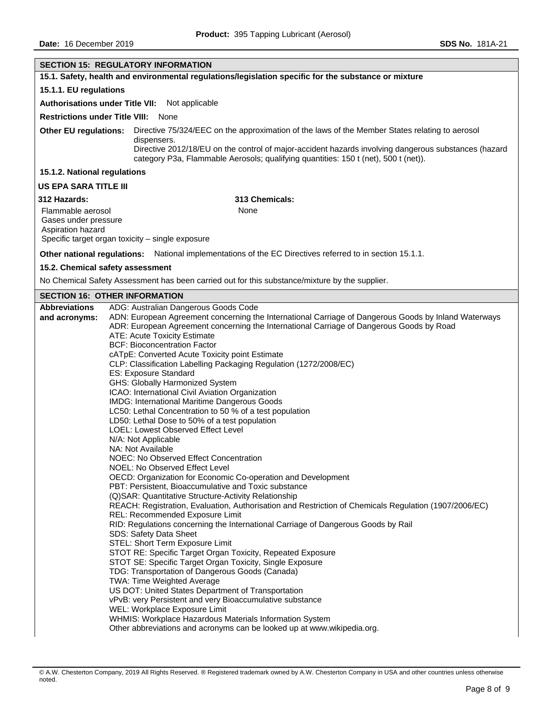|                                                          | <b>SECTION 15: REGULATORY INFORMATION</b>                                                                                                                                                        |  |  |  |  |
|----------------------------------------------------------|--------------------------------------------------------------------------------------------------------------------------------------------------------------------------------------------------|--|--|--|--|
|                                                          | 15.1. Safety, health and environmental regulations/legislation specific for the substance or mixture                                                                                             |  |  |  |  |
| 15.1.1. EU regulations                                   |                                                                                                                                                                                                  |  |  |  |  |
|                                                          | Authorisations under Title VII: Not applicable                                                                                                                                                   |  |  |  |  |
|                                                          | <b>Restrictions under Title VIII: None</b>                                                                                                                                                       |  |  |  |  |
| <b>Other EU regulations:</b>                             | Directive 75/324/EEC on the approximation of the laws of the Member States relating to aerosol<br>dispensers.                                                                                    |  |  |  |  |
|                                                          | Directive 2012/18/EU on the control of major-accident hazards involving dangerous substances (hazard<br>category P3a, Flammable Aerosols; qualifying quantities: 150 t (net), 500 t (net)).      |  |  |  |  |
| 15.1.2. National regulations                             |                                                                                                                                                                                                  |  |  |  |  |
| <b>US EPA SARA TITLE III</b>                             |                                                                                                                                                                                                  |  |  |  |  |
| 312 Hazards:                                             | 313 Chemicals:                                                                                                                                                                                   |  |  |  |  |
| Flammable aerosol                                        | None                                                                                                                                                                                             |  |  |  |  |
| Gases under pressure<br>Aspiration hazard                |                                                                                                                                                                                                  |  |  |  |  |
|                                                          | Specific target organ toxicity - single exposure                                                                                                                                                 |  |  |  |  |
|                                                          | Other national regulations: National implementations of the EC Directives referred to in section 15.1.1.                                                                                         |  |  |  |  |
|                                                          | 15.2. Chemical safety assessment                                                                                                                                                                 |  |  |  |  |
|                                                          | No Chemical Safety Assessment has been carried out for this substance/mixture by the supplier.                                                                                                   |  |  |  |  |
|                                                          | <b>SECTION 16: OTHER INFORMATION</b>                                                                                                                                                             |  |  |  |  |
| <b>Abbreviations</b>                                     | ADG: Australian Dangerous Goods Code                                                                                                                                                             |  |  |  |  |
| and acronyms:                                            | ADN: European Agreement concerning the International Carriage of Dangerous Goods by Inland Waterways<br>ADR: European Agreement concerning the International Carriage of Dangerous Goods by Road |  |  |  |  |
|                                                          | ATE: Acute Toxicity Estimate                                                                                                                                                                     |  |  |  |  |
|                                                          | <b>BCF: Bioconcentration Factor</b>                                                                                                                                                              |  |  |  |  |
|                                                          | cATpE: Converted Acute Toxicity point Estimate                                                                                                                                                   |  |  |  |  |
|                                                          | CLP: Classification Labelling Packaging Regulation (1272/2008/EC)                                                                                                                                |  |  |  |  |
| ES: Exposure Standard<br>GHS: Globally Harmonized System |                                                                                                                                                                                                  |  |  |  |  |
| ICAO: International Civil Aviation Organization          |                                                                                                                                                                                                  |  |  |  |  |
|                                                          | IMDG: International Maritime Dangerous Goods                                                                                                                                                     |  |  |  |  |
|                                                          | LC50: Lethal Concentration to 50 % of a test population                                                                                                                                          |  |  |  |  |
|                                                          | LD50: Lethal Dose to 50% of a test population                                                                                                                                                    |  |  |  |  |
|                                                          | LOEL: Lowest Observed Effect Level                                                                                                                                                               |  |  |  |  |
|                                                          | N/A: Not Applicable<br>NA: Not Available                                                                                                                                                         |  |  |  |  |
|                                                          | NOEC: No Observed Effect Concentration                                                                                                                                                           |  |  |  |  |
|                                                          | NOEL: No Observed Effect Level                                                                                                                                                                   |  |  |  |  |
|                                                          | OECD: Organization for Economic Co-operation and Development                                                                                                                                     |  |  |  |  |
|                                                          | PBT: Persistent, Bioaccumulative and Toxic substance                                                                                                                                             |  |  |  |  |
|                                                          | (Q)SAR: Quantitative Structure-Activity Relationship<br>REACH: Registration, Evaluation, Authorisation and Restriction of Chemicals Regulation (1907/2006/EC)                                    |  |  |  |  |
|                                                          | REL: Recommended Exposure Limit                                                                                                                                                                  |  |  |  |  |
|                                                          | RID: Regulations concerning the International Carriage of Dangerous Goods by Rail                                                                                                                |  |  |  |  |
|                                                          | SDS: Safety Data Sheet<br>STEL: Short Term Exposure Limit                                                                                                                                        |  |  |  |  |
|                                                          | STOT RE: Specific Target Organ Toxicity, Repeated Exposure                                                                                                                                       |  |  |  |  |
|                                                          | STOT SE: Specific Target Organ Toxicity, Single Exposure                                                                                                                                         |  |  |  |  |
|                                                          | TDG: Transportation of Dangerous Goods (Canada)                                                                                                                                                  |  |  |  |  |
|                                                          | <b>TWA: Time Weighted Average</b><br>US DOT: United States Department of Transportation                                                                                                          |  |  |  |  |
|                                                          | vPvB: very Persistent and very Bioaccumulative substance                                                                                                                                         |  |  |  |  |
|                                                          | WEL: Workplace Exposure Limit                                                                                                                                                                    |  |  |  |  |
|                                                          | WHMIS: Workplace Hazardous Materials Information System                                                                                                                                          |  |  |  |  |
|                                                          | Other abbreviations and acronyms can be looked up at www.wikipedia.org.                                                                                                                          |  |  |  |  |